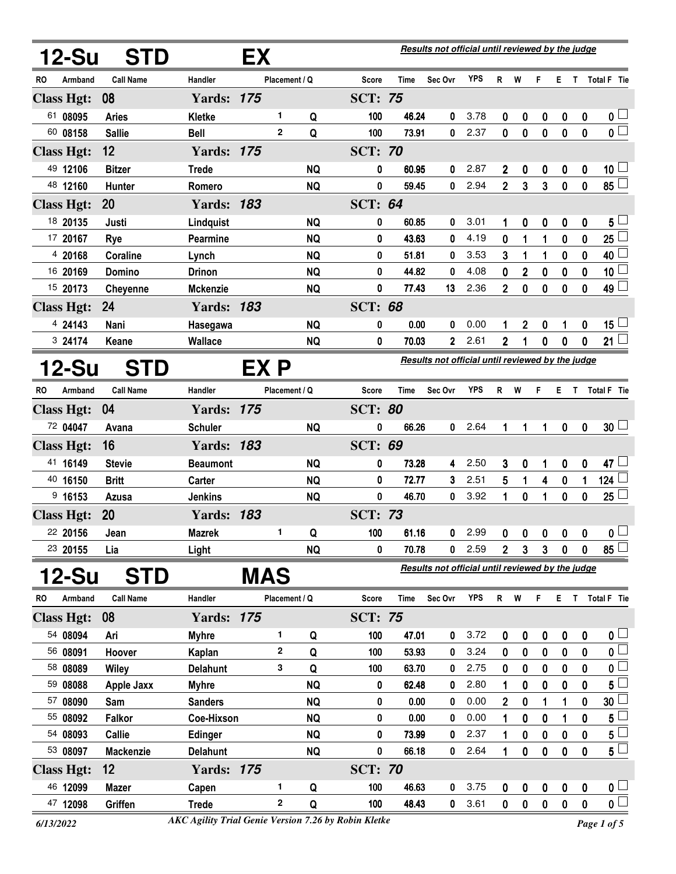| 12-Su                         | <b>STD</b>                     |                                 | EX         |               |           |                                |                | Results not official until reviewed by the judge |              |                |                |                       |                               |                  |                                            |
|-------------------------------|--------------------------------|---------------------------------|------------|---------------|-----------|--------------------------------|----------------|--------------------------------------------------|--------------|----------------|----------------|-----------------------|-------------------------------|------------------|--------------------------------------------|
| RO<br>Armband                 | <b>Call Name</b>               | Handler                         |            | Placement / Q |           | Score                          | Time           | Sec Ovr                                          | <b>YPS</b>   | R              | W              | F                     | E.                            | T.               | Total F Tie                                |
| <b>Class Hgt:</b>             | 08                             | <b>Yards: 175</b>               |            |               |           | <b>SCT: 75</b>                 |                |                                                  |              |                |                |                       |                               |                  |                                            |
| 61 08095                      | <b>Aries</b>                   | Kletke                          |            | 1             | Q         | 100                            | 46.24          | 0                                                | 3.78         | 0              | 0              | 0                     | 0                             | 0                | 0 <sub>0</sub>                             |
| 60 08158                      | <b>Sallie</b>                  | <b>Bell</b>                     |            | $\mathbf{2}$  | Q         | 100                            | 73.91          | $\mathbf{0}$                                     | 2.37         | 0              | $\mathbf{0}$   | $\mathbf 0$           | $\mathbf 0$                   | $\mathbf 0$      | $\overline{\mathbf{0}}$                    |
| <b>Class Hgt:</b>             | 12                             | <b>Yards: 175</b>               |            |               |           | <b>SCT: 70</b>                 |                |                                                  |              |                |                |                       |                               |                  |                                            |
| 49 12106                      | <b>Bitzer</b>                  | <b>Trede</b>                    |            |               | <b>NQ</b> | 0                              | 60.95          | 0                                                | 2.87         | $\mathbf 2$    | 0              | 0                     | 0                             | 0                | 10 <sup>1</sup>                            |
| 48 12160                      | Hunter                         | Romero                          |            |               | <b>NQ</b> | 0                              | 59.45          | $\mathbf{0}$                                     | 2.94         | $\overline{2}$ | 3              | 3                     | $\mathbf 0$                   | $\mathbf 0$      | $85\Box$                                   |
| <b>Class Hgt:</b>             | 20                             | <b>Yards: 183</b>               |            |               |           | <b>SCT: 64</b>                 |                |                                                  |              |                |                |                       |                               |                  |                                            |
| 18 20135                      | Justi                          | Lindquist                       |            |               | <b>NQ</b> | 0                              | 60.85          | 0                                                | 3.01         | 1              | 0              | 0                     | 0                             | 0                | $5+$                                       |
| 17 20167                      | Rye                            | Pearmine                        |            |               | <b>NQ</b> | 0                              | 43.63          | 0                                                | 4.19         | 0              | 1              | 1                     | 0                             | 0                | 25                                         |
| 4 20168                       | Coraline                       | Lynch                           |            |               | <b>NQ</b> | 0                              | 51.81          | 0                                                | 3.53         | 3              | 1              | 1                     | 0                             | 0                | 40 $\lfloor$                               |
| 16 20169                      | Domino                         | <b>Drinon</b>                   |            |               | <b>NQ</b> | 0                              | 44.82          | 0                                                | 4.08         | 0              | 2              | 0                     | 0                             | 0                | 10 <sub>1</sub>                            |
| 15 20173                      | <b>Cheyenne</b>                | <b>Mckenzie</b>                 |            |               | <b>NQ</b> | 0                              | 77.43          | 13                                               | 2.36         | $\overline{2}$ | 0              | 0                     | 0                             | 0                | $\overline{49}$                            |
| <b>Class Hgt:</b>             | 24                             | <b>Yards: 183</b>               |            |               |           | <b>SCT: 68</b>                 |                |                                                  |              |                |                |                       |                               |                  |                                            |
| 4 24143                       | Nani                           | Hasegawa                        |            |               | <b>NQ</b> | 0                              | 0.00           | 0                                                | 0.00         | 1              | 2              | 0                     | 1                             | 0                | 15 $\lfloor$                               |
| 3 24174                       | Keane                          | <b>Wallace</b>                  |            |               | <b>NQ</b> | 0                              | 70.03          | $\mathbf{2}$                                     | 2.61         | $\overline{2}$ | 1              | 0                     | 0                             | 0                | 21 $\Box$                                  |
| 12-Su                         | <b>STD</b>                     |                                 | EX P       |               |           |                                |                | Results not official until reviewed by the judge |              |                |                |                       |                               |                  |                                            |
| Armband<br>RO                 | <b>Call Name</b>               | Handler                         |            | Placement / Q |           | Score                          | Time           | Sec Ovr                                          | YPS          | R              | W              | F                     | Е.                            | T                | Total F Tie                                |
| <b>Class Hgt:</b>             | 04                             | <b>Yards: 175</b>               |            |               |           | <b>SCT: 80</b>                 |                |                                                  |              |                |                |                       |                               |                  |                                            |
| 72 04047                      | Avana                          | <b>Schuler</b>                  |            |               | <b>NQ</b> | 0                              | 66.26          | 0                                                | 2.64         | 1              | 1              | 1                     | $\mathbf 0$                   | $\mathbf 0$      | 30 <sup>1</sup>                            |
| <b>Class Hgt:</b>             | 16                             | <b>Yards: 183</b>               |            |               |           | <b>SCT: 69</b>                 |                |                                                  |              |                |                |                       |                               |                  |                                            |
| 41 16149                      | <b>Stevie</b>                  | <b>Beaumont</b>                 |            |               | <b>NQ</b> | 0                              | 73.28          | 4                                                | 2.50         | 3              | 0              | 1                     | $\boldsymbol{0}$              | 0                | 47 $\Box$                                  |
| 40 16150                      | <b>Britt</b>                   | Carter                          |            |               | <b>NQ</b> | 0                              | 72.77          | 3                                                | 2.51         | 5              | 1              | 4                     | $\boldsymbol{0}$              | 1                | $124\perp$                                 |
| $9$ 16153                     | <b>Azusa</b>                   | <b>Jenkins</b>                  |            |               | <b>NQ</b> | 0                              | 46.70          | 0                                                | 3.92         | 1              | 0              | 1                     | 0                             | 0                | 25 <sup>1</sup>                            |
| <b>Class Hgt:</b>             | 20                             | <b>Yards: 183</b>               |            |               |           | <b>SCT: 73</b>                 |                |                                                  |              |                |                |                       |                               |                  |                                            |
| 22 20156                      | Jean                           | <b>Mazrek</b>                   |            | 1             | Q         | 100                            | 61.16          | 0                                                | 2.99         | 0              | 0              | 0                     | 0                             | 0                | $\overline{\mathbf{0}}$                    |
| 23 20155                      | Lia                            | Light                           |            |               | <b>NQ</b> | 0                              | 70.78          | 0                                                | 2.59         | $\mathbf 2$    | 3              | 3                     | 0                             | 0                | $85 \Box$                                  |
|                               |                                |                                 | <b>MAS</b> |               |           |                                |                | Results not official until reviewed by the judge |              |                |                |                       |                               |                  |                                            |
| 12-Su                         | <b>STD</b><br><b>Call Name</b> | Handler                         |            | Placement / Q |           |                                |                |                                                  | <b>YPS</b>   |                | W              |                       |                               |                  | E T Total F Tie                            |
| Armband<br><b>RO</b>          | 08                             | <b>Yards: 175</b>               |            |               |           | <b>Score</b><br><b>SCT: 75</b> | Time           | Sec Ovr                                          |              | $\mathsf{R}$   |                | F                     |                               |                  |                                            |
| <b>Class Hgt:</b><br>54 08094 |                                |                                 |            | 1.            |           |                                |                |                                                  |              |                |                |                       |                               |                  |                                            |
| 56 08091                      | Ari<br>Hoover                  | <b>Myhre</b>                    |            | $\mathbf{2}$  | Q<br>Q    | 100<br>100                     | 47.01<br>53.93 | 0<br>0                                           | 3.72<br>3.24 | 0              | 0              | 0                     | 0                             | 0                | 0 <sub>0</sub><br>$\mathfrak{o} \subseteq$ |
| 58 08089                      | Wiley                          | Kaplan                          |            | 3             | Q         | 100                            | 63.70          | 0                                                | 2.75         | 0<br>0         | 0              | 0<br>$\boldsymbol{0}$ | 0<br>0                        | 0<br>0           | 0 <sup>1</sup>                             |
| 59 08088                      | <b>Apple Jaxx</b>              | <b>Delahunt</b><br><b>Myhre</b> |            |               | <b>NQ</b> | 0                              | 62.48          | 0                                                | 2.80         | 1              | 0<br>0         | 0                     | 0                             | 0                | 5 <sup>L</sup>                             |
| 57 08090                      | Sam                            | <b>Sanders</b>                  |            |               | <b>NQ</b> | 0                              | 0.00           | 0                                                | 0.00         | 2              | 0              | 1                     | 1                             | 0                | 30 <sub>2</sub>                            |
| 55 08092                      | <b>Falkor</b>                  | Coe-Hixson                      |            |               | <b>NQ</b> | 0                              | 0.00           | 0                                                | 0.00         | 1              | 0              | 0                     | 1                             | 0                | $5\perp$                                   |
| 54 08093                      | <b>Callie</b>                  | Edinger                         |            |               | <b>NQ</b> | 0                              | 73.99          | 0                                                | 2.37         | 1              | 0              | 0                     | 0                             | 0                | $5+$                                       |
| 53 08097                      | <b>Mackenzie</b>               | <b>Delahunt</b>                 |            |               | <b>NQ</b> | 0                              | 66.18          | 0                                                | 2.64         | 1              | 0              | 0                     | $\bf{0}$                      | 0                | $5^{\Box}$                                 |
| <b>Class Hgt:</b>             | 12                             | <b>Yards: 175</b>               |            |               |           | <b>SCT: 70</b>                 |                |                                                  |              |                |                |                       |                               |                  |                                            |
| 46 12099                      | <b>Mazer</b>                   | Capen                           |            | 1.            |           | 100                            | 46.63          | 0                                                | 3.75         |                |                |                       |                               |                  | $\mathbf{0}$ $\Box$                        |
| 47 12098                      | Griffen                        | <b>Trede</b>                    |            | $\mathbf{2}$  | Q<br>Q    | 100                            | 48.43          | 0                                                | 3.61         | 0<br>0         | 0<br>$\pmb{0}$ | 0<br>$\pmb{0}$        | $\boldsymbol{0}$<br>$\pmb{0}$ | 0<br>$\mathbf 0$ | $\overline{\mathbf{0}}$                    |
|                               |                                |                                 |            |               |           |                                |                |                                                  |              |                |                |                       |                               |                  |                                            |

*<sup>6/13/2022</sup> Page 1 of 5 AKC Agility Trial Genie Version 7.26 by Robin Kletke*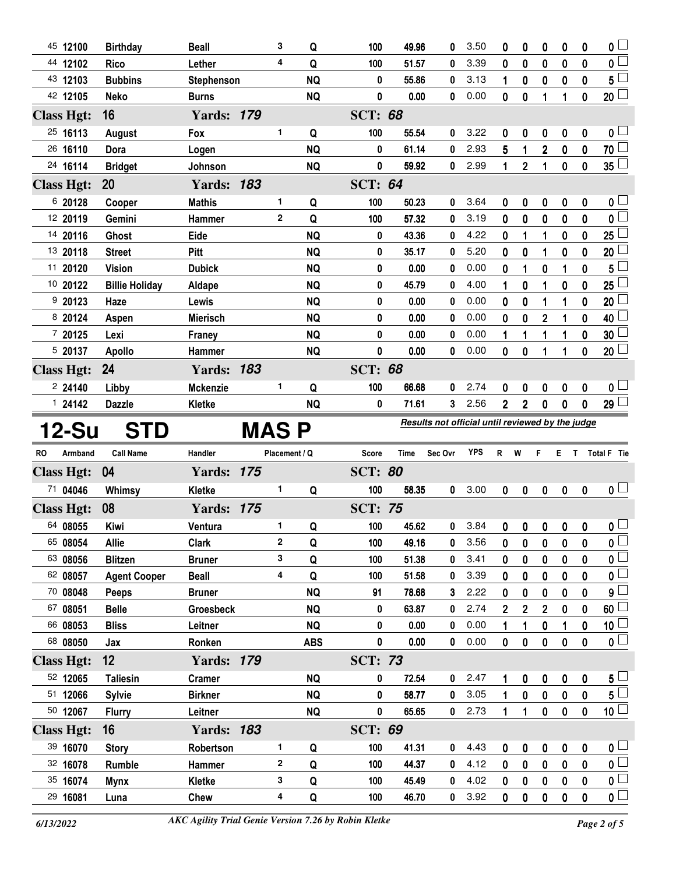| 45 12100                      | <b>Birthday</b>       | <b>Beall</b>                  |       | 3              | Q          | 100            | 49.96                                            | 0       | 3.50       | 0              | 0              | 0                       | 0                | 0            | $\overline{\mathbf{0}}$                |
|-------------------------------|-----------------------|-------------------------------|-------|----------------|------------|----------------|--------------------------------------------------|---------|------------|----------------|----------------|-------------------------|------------------|--------------|----------------------------------------|
| 44 12102                      | <b>Rico</b>           | Lether                        |       | 4              | Q          | 100            | 51.57                                            | 0       | 3.39       | 0              | $\bf{0}$       | $\bf{0}$                | 0                | $\mathbf{0}$ | $\overline{0}$                         |
| 43 12103                      | <b>Bubbins</b>        | Stephenson                    |       |                | <b>NQ</b>  | 0              | 55.86                                            | 0       | 3.13       | 1              | 0              | 0                       | 0                | 0            | $5^{\Box}$                             |
| 42 12105                      | <b>Neko</b>           | <b>Burns</b>                  |       |                | <b>NQ</b>  | 0              | 0.00                                             | 0       | 0.00       | 0              | $\bf{0}$       | 1                       | 1                | 0            | 20 <sup>2</sup>                        |
| <b>Class Hgt:</b>             | 16                    | <b>Yards: 179</b>             |       |                |            | <b>SCT: 68</b> |                                                  |         |            |                |                |                         |                  |              |                                        |
| 25 16113                      | August                | Fox                           |       | 1              | Q          | 100            | 55.54                                            | 0       | 3.22       | 0              | 0              | 0                       | 0                | 0            | 0 <sub>1</sub>                         |
| 26 16110                      | Dora                  | Logen                         |       |                | <b>NQ</b>  | 0              | 61.14                                            | 0       | 2.93       | 5              | 1              | $\overline{2}$          | $\boldsymbol{0}$ | $\mathbf 0$  | 70 $\Box$                              |
| 24 16114                      | <b>Bridget</b>        | Johnson                       |       |                | <b>NQ</b>  | 0              | 59.92                                            | 0       | 2.99       | 1              | $\overline{2}$ | 1                       | $\bf{0}$         | 0            | 35 <sup>2</sup>                        |
| <b>Class Hgt:</b>             | <b>20</b>             | <b>Yards: 183</b>             |       |                |            | <b>SCT: 64</b> |                                                  |         |            |                |                |                         |                  |              |                                        |
| 6 20128                       | Cooper                | <b>Mathis</b>                 |       | 1              | Q          | 100            | 50.23                                            | 0       | 3.64       | 0              | 0              | 0                       | 0                | 0            | $\mathbf 0$                            |
| 12 20119                      | Gemini                | Hammer                        |       | $\overline{2}$ | Q          | 100            | 57.32                                            | 0       | 3.19       | 0              | 0              | 0                       | 0                | 0            | $\pmb{0}$                              |
| 14 20116                      | Ghost                 | Eide                          |       |                | <b>NQ</b>  | 0              | 43.36                                            | 0       | 4.22       | 0              | 1              | 1                       | 0                | 0            | 25                                     |
| 13 20118                      | <b>Street</b>         | <b>Pitt</b>                   |       |                | <b>NQ</b>  | 0              | 35.17                                            | 0       | 5.20       | 0              | 0              | 1                       | 0                | 0            | 20                                     |
| 11 20120                      | <b>Vision</b>         | <b>Dubick</b>                 |       |                | <b>NQ</b>  | 0              | 0.00                                             | 0       | 0.00       | 0              | 1              | 0                       | 1                | 0            | 5                                      |
| 10 20122                      | <b>Billie Holiday</b> | Aldape                        |       |                | <b>NQ</b>  | 0              | 45.79                                            | 0       | 4.00       | 1              | 0              | 1                       | 0                | 0            | 25                                     |
| 920123                        | Haze                  | Lewis                         |       |                | <b>NQ</b>  | 0              | 0.00                                             | 0       | 0.00       | 0              | 0              | 1                       |                  | 0            | 20                                     |
| 8 20124                       | Aspen                 | <b>Mierisch</b>               |       |                | <b>NQ</b>  | 0              | 0.00                                             | 0       | 0.00       | 0              | 0              | $\overline{\mathbf{c}}$ |                  | 0            | 40                                     |
| 7 20125                       | Lexi                  | Franey                        |       |                | <b>NQ</b>  | 0              | 0.00                                             | 0       | 0.00       | 1              | 1              | 1                       | 1                | 0            | 30                                     |
| 5 20137                       | <b>Apollo</b>         | <b>Hammer</b>                 |       |                | <b>NQ</b>  | 0              | 0.00                                             | 0       | 0.00       | 0              | 0              | 1                       | 1                | 0            | $20\perp$                              |
| <b>Class Hgt:</b>             | 24                    | <b>Yards: 183</b>             |       |                |            | <b>SCT: 68</b> |                                                  |         |            |                |                |                         |                  |              |                                        |
| 224140                        | Libby                 | <b>Mckenzie</b>               |       | 1              | Q          | 100            | 66.68                                            | 0       | 2.74       | 0              | 0              | 0                       | $\bf{0}$         | 0            | 0 <sub>1</sub>                         |
| 124142                        | <b>Dazzle</b>         | Kletke                        |       |                | <b>NQ</b>  | 0              | 71.61                                            | 3       | 2.56       | $\overline{2}$ | $\mathbf{2}$   | 0                       | $\bf{0}$         | 0            | $29$ $\Box$                            |
|                               |                       |                               |       |                |            |                |                                                  |         |            |                |                |                         |                  |              |                                        |
| 12-Su                         | <b>STD</b>            |                               | MAS P |                |            |                | Results not official until reviewed by the judge |         |            |                |                |                         |                  |              |                                        |
| RO<br>Armband                 | <b>Call Name</b>      | Handler                       |       | Placement / Q  |            | <b>Score</b>   | Time                                             | Sec Ovr | <b>YPS</b> | $\mathsf{R}$   | W              | F                       | E T              |              | Total F Tie                            |
| <b>Class Hgt:</b>             | 04                    | <b>Yards: 175</b>             |       |                |            | <b>SCT: 80</b> |                                                  |         |            |                |                |                         |                  |              |                                        |
| 71 04046                      | Whimsy                | Kletke                        |       | 1              | Q          | 100            | 58.35                                            | 0       | 3.00       | 0              | 0              | $\mathbf 0$             | 0                | 0            | 0 <sub>1</sub>                         |
|                               | 08                    | <b>Yards: 175</b>             |       |                |            | <b>SCT: 75</b> |                                                  |         |            |                |                |                         |                  |              |                                        |
| <b>Class Hgt:</b><br>64 08055 | Kiwi                  | Ventura                       |       | 1              | Q          | 100            | 45.62                                            | 0       | 3.84       | 0              | 0              | 0                       |                  | 0            |                                        |
| 65 08054                      | <b>Allie</b>          | <b>Clark</b>                  |       | 2              | Q          | 100            | 49.16                                            | 0       | 3.56       | 0              | 0              |                         | 0<br>0           | 0            | $\overline{\mathbf{0}}$<br>$\mathbf 0$ |
| 63 08056                      | <b>Blitzen</b>        |                               |       | 3              | Q          | 100            | 51.38                                            | 0       | 3.41       | 0              | 0              | 0<br>0                  | 0                | 0            | $\mathbf 0$                            |
| 62 08057                      | <b>Agent Cooper</b>   | <b>Bruner</b><br><b>Beall</b> |       | 4              | Q          | 100            | 51.58                                            | 0       | 3.39       | 0              | 0              | 0                       | 0                | 0            | $\mathbf 0$                            |
| 70 08048                      | Peeps                 | <b>Bruner</b>                 |       |                | <b>NQ</b>  | 91             | 78.68                                            | 3       | 2.22       | 0              | 0              | 0                       | 0                | 0            | 9                                      |
| 67 08051                      | <b>Belle</b>          | <b>Groesbeck</b>              |       |                | <b>NQ</b>  | 0              | 63.87                                            | 0       | 2.74       | 2              | 2              | $\mathbf 2$             | 0                | 0            | 60                                     |
| 66 08053                      | <b>Bliss</b>          | Leitner                       |       |                | <b>NQ</b>  | 0              | 0.00                                             | 0       | 0.00       | 1              | 1              | 0                       |                  | 0            | 10 <sup>1</sup>                        |
| 68 08050                      | Jax                   | Ronken                        |       |                | <b>ABS</b> | $\pmb{0}$      | 0.00                                             | 0       | 0.00       | 0              | 0              | 0                       | $\pmb{0}$        | 0            | $\overline{\mathbf{0}}$                |
| <b>Class Hgt:</b>             | 12                    | <b>Yards: 179</b>             |       |                |            | <b>SCT: 73</b> |                                                  |         |            |                |                |                         |                  |              |                                        |
| 52 12065                      | <b>Taliesin</b>       | <b>Cramer</b>                 |       |                | <b>NQ</b>  | 0              | 72.54                                            | 0       | 2.47       | 1              | 0              | 0                       | 0                | 0            | $5 -$                                  |
| 51 12066                      | <b>Sylvie</b>         | <b>Birkner</b>                |       |                | <b>NQ</b>  | 0              | 58.77                                            | 0       | 3.05       | 1              | $\bf{0}$       | 0                       | $\pmb{0}$        | 0            | $5\Box$                                |
| 50 12067                      | <b>Flurry</b>         | Leitner                       |       |                | <b>NQ</b>  | 0              | 65.65                                            | 0       | 2.73       | $\mathbf{1}$   | 1              | $\mathbf 0$             | $\pmb{0}$        | $\mathbf 0$  | 10 <sup>1</sup>                        |
| <b>Class Hgt:</b>             | 16                    | <b>Yards: 183</b>             |       |                |            | <b>SCT: 69</b> |                                                  |         |            |                |                |                         |                  |              |                                        |
| 39 16070                      | <b>Story</b>          | Robertson                     |       | 1              | Q          | 100            | 41.31                                            | 0       | 4.43       | 0              | 0              | 0                       | 0                | 0            | 0 <sub>1</sub>                         |
| 32 16078                      | <b>Rumble</b>         | Hammer                        |       | 2              | Q          | 100            | 44.37                                            | 0       | 4.12       | 0              | 0              | $\pmb{0}$               | $\mathbf 0$      | 0            | $\overline{\mathbf{0}}$                |
| 35 16074                      | <b>Mynx</b>           | Kletke                        |       | 3              | Q          | 100            | 45.49                                            | 0       | 4.02       | 0              | 0              | 0                       | 0                | 0            | $\overline{\mathbf{0}}$                |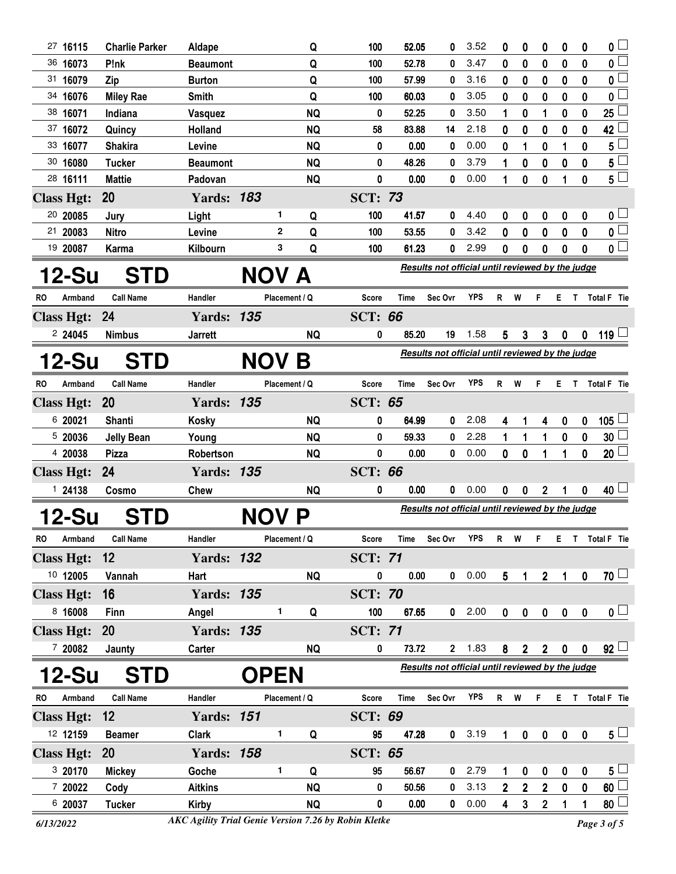|                               | <b>Charlie Parker</b>       | Aldape                    |              | Q             | 100                                              | 52.05       | 0                                                | 3.52       | 0              | 0                | 0              | 0                | 0                | $\overline{0}$              |
|-------------------------------|-----------------------------|---------------------------|--------------|---------------|--------------------------------------------------|-------------|--------------------------------------------------|------------|----------------|------------------|----------------|------------------|------------------|-----------------------------|
| 36 16073                      | P!nk                        | <b>Beaumont</b>           |              | Q             | 100                                              | 52.78       | 0                                                | 3.47       | 0              | $\bf{0}$         | 0              | $\bf{0}$         | $\mathbf 0$      | $\overline{\mathbf{0}}$     |
| 31 16079                      | Zip                         | <b>Burton</b>             |              | Q             | 100                                              | 57.99       | 0                                                | 3.16       | 0              | 0                | 0              | 0                | 0                | $\overline{\mathbf{0}}$     |
| 34 16076                      | <b>Miley Rae</b>            | <b>Smith</b>              |              | Q             | 100                                              | 60.03       | 0                                                | 3.05       | 0              | $\bf{0}$         | 0              | $\bf{0}$         | $\mathbf{0}$     | 0 L                         |
| 38 16071                      | Indiana                     | Vasquez                   |              | <b>NQ</b>     | 0                                                | 52.25       | 0                                                | 3.50       | 1              | 0                | 1              | 0                | 0                | $\overline{25}$             |
| 37 16072                      | Quincy                      | Holland                   |              | <b>NQ</b>     | 58                                               | 83.88       | 14                                               | 2.18       | 0              | 0                | 0              | $\bf{0}$         | $\mathbf 0$      | 42                          |
| 33 16077                      | <b>Shakira</b>              | Levine                    |              | <b>NQ</b>     | 0                                                | 0.00        | 0                                                | 0.00       | 0              | 1                | 0              | 1                | $\bf{0}$         | $5^{\frac{1}{2}}$           |
| 30 16080                      | <b>Tucker</b>               | <b>Beaumont</b>           |              | <b>NQ</b>     | 0                                                | 48.26       | 0                                                | 3.79       | 1              | $\bf{0}$         | 0              | $\mathbf 0$      | $\mathbf 0$      | $5^{\frac{1}{2}}$           |
| 28 16111                      | <b>Mattie</b>               | Padovan                   |              | <b>NQ</b>     | 0                                                | 0.00        | 0                                                | 0.00       | 1              | 0                | 0              | 1                | 0                | $5^{\square}$               |
| <b>Class Hgt:</b>             | 20                          | <b>Yards: 183</b>         |              |               | <b>SCT: 73</b>                                   |             |                                                  |            |                |                  |                |                  |                  |                             |
| 20 20085                      | Jury                        | Light                     | 1            | Q             | 100                                              | 41.57       | 0                                                | 4.40       | 0              | 0                | 0              | 0                | 0                | 0 L                         |
| 21 20083                      | <b>Nitro</b>                | Levine                    | 2            | Q             | 100                                              | 53.55       | 0                                                | 3.42       | 0              | 0                | 0              | 0                | 0                | $\overline{\mathbf{0}}$     |
| 19 20087                      | <b>Karma</b>                | Kilbourn                  | 3            | Q             | 100                                              | 61.23       | 0                                                | 2.99       | 0              | 0                | 0              | 0                | $\mathbf 0$      | $\overline{\mathbf{0}}$     |
| 12-Su                         | <b>STD</b>                  |                           | NOV A        |               |                                                  |             | Results not official until reviewed by the judge |            |                |                  |                |                  |                  |                             |
| RO<br>Armband                 | <b>Call Name</b>            | Handler                   |              | Placement / Q | Score                                            | <b>Time</b> | Sec Ovr                                          | <b>YPS</b> | R              | W                | F              | E.               |                  | T Total F Tie               |
| <b>Class Hgt:</b>             | 24                          | <b>Yards: 135</b>         |              |               | <b>SCT: 66</b>                                   |             |                                                  |            |                |                  |                |                  |                  |                             |
| 224045                        | <b>Nimbus</b>               | <b>Jarrett</b>            |              | <b>NQ</b>     | 0                                                | 85.20       | 19                                               | 1.58       | 5              | 3                | $\mathbf{3}$   | $\pmb{0}$        | $\mathbf 0$      | 119 └                       |
|                               |                             |                           |              |               |                                                  |             | Results not official until reviewed by the judge |            |                |                  |                |                  |                  |                             |
| <b>12-Su</b>                  | <b>STD</b>                  |                           | NOV B        |               |                                                  |             |                                                  |            |                |                  |                |                  |                  |                             |
| <b>RO</b><br>Armband          | <b>Call Name</b>            | Handler                   |              | Placement / Q | Score                                            | Time        | Sec Ovr                                          | <b>YPS</b> | R W            |                  | F.             | Е.               |                  | T Total F Tie               |
| <b>Class Hgt:</b>             | 20                          | <b>Yards: 135</b>         |              |               | <b>SCT: 65</b>                                   |             |                                                  |            |                |                  |                |                  |                  |                             |
| 6 20021                       | Shanti                      | <b>Kosky</b>              |              | <b>NQ</b>     | 0                                                | 64.99       | 0                                                | 2.08       | 4              | 1                | 4              | $\boldsymbol{0}$ | 0                | $105$ $-$                   |
| 5 20036                       | <b>Jelly Bean</b>           | Young                     |              | <b>NQ</b>     | 0                                                | 59.33       | 0                                                | 2.28       | 1              | 1                | 1              | $\pmb{0}$        | $\bf{0}$         | $30\square$                 |
| 4 20038                       | <b>Pizza</b>                | Robertson                 |              | <b>NQ</b>     | 0                                                | 0.00        | 0                                                | 0.00       | $\mathbf{0}$   | 0                | 1              | 1                | $\mathbf{0}$     | 20 <sup>2</sup>             |
| <b>Class Hgt:</b>             | 24                          | <b>Yards: 135</b>         |              |               | <b>SCT: 66</b>                                   |             |                                                  |            |                |                  |                |                  |                  |                             |
| 1 24138                       | Cosmo                       | <b>Chew</b>               |              | <b>NQ</b>     | 0                                                | 0.00        | 0                                                | 0.00       | 0              | 0                | 2              | 1                | 0                | 40 $\overline{\phantom{0}}$ |
| <b>12-Su</b>                  | <b>STD</b>                  |                           | <b>NOV</b>   | P             | Results not official until reviewed by the judge |             |                                                  |            |                |                  |                |                  |                  |                             |
| Armband<br>RO                 | <b>Call Name</b>            |                           |              |               |                                                  |             |                                                  |            |                |                  |                |                  |                  |                             |
|                               |                             | Handler                   |              | Placement / Q | Score                                            | <b>Time</b> | Sec Ovr                                          | <b>YPS</b> | R W            |                  | F              |                  |                  | E T Total F Tie             |
|                               |                             |                           |              |               |                                                  |             |                                                  |            |                |                  |                |                  |                  |                             |
| <b>Class Hgt:</b><br>10 12005 | $12 \overline{ }$<br>Vannah | <b>Yards: 132</b><br>Hart |              | <b>NQ</b>     | <b>SCT: 71</b><br>0                              | 0.00        | 0                                                | 0.00       |                | $\mathbf{1}$     |                | $\mathbf{1}$     |                  | 70 <sup>1</sup>             |
|                               |                             |                           |              |               |                                                  |             |                                                  |            | 5 <sup>5</sup> |                  | 2 <sup>7</sup> |                  | $\pmb{0}$        |                             |
| <b>Class Hgt:</b>             | 16                          | <b>Yards: 135</b>         | 1.           |               | <b>SCT: 70</b>                                   |             |                                                  |            |                |                  |                |                  |                  |                             |
| 8 16008                       | Finn                        | Angel                     |              | Q             | 100                                              | 67.65       | $\mathbf{0}$                                     | 2.00       | $\mathbf 0$    | $\pmb{0}$        | $\pmb{0}$      | $\pmb{0}$        | $\mathbf 0$      | 0 <sub>1</sub>              |
| <b>Class Hgt:</b>             | <b>20</b>                   | <b>Yards: 135</b>         |              |               | <b>SCT: 71</b>                                   |             |                                                  |            |                |                  |                |                  |                  |                             |
| 7 20082                       | Jaunty                      | Carter                    |              | <b>NQ</b>     | 0                                                | 73.72       |                                                  | $2 \t1.83$ | 8              | $2^{\circ}$      | $\overline{2}$ | $\mathbf 0$      | $\mathbf 0$      | $92$ $\Box$                 |
| <b>12-Su</b>                  | <b>STD</b>                  |                           | <b>OPEN</b>  |               |                                                  |             | Results not official until reviewed by the judge |            |                |                  |                |                  |                  |                             |
| <b>RO</b><br>Armband          | <b>Call Name</b>            | Handler                   |              | Placement / Q | <b>Score</b>                                     | Time        | Sec Ovr                                          | YPS        | R W            |                  | F.             |                  |                  | E T Total F Tie             |
| <b>Class Hgt:</b>             | 12                          | <b>Yards: 151</b>         |              |               | <b>SCT: 69</b>                                   |             |                                                  |            |                |                  |                |                  |                  |                             |
| 12 12159                      | <b>Beamer</b>               | <b>Clark</b>              | 1.           | Q             | 95                                               | 47.28       | 0                                                | 3.19       | 1              | $\boldsymbol{0}$ | $\bf{0}$       | $\bf{0}$         | $\boldsymbol{0}$ | $5\perp$                    |
| <b>Class Hgt:</b>             | <b>20</b>                   | <b>Yards: 158</b>         |              |               | <b>SCT: 65</b>                                   |             |                                                  |            |                |                  |                |                  |                  |                             |
| 3 20170                       | <b>Mickey</b>               | Goche                     | $\mathbf{1}$ | Q             | 95                                               | 56.67       | 0                                                | 2.79       | 1              | 0                | 0              | $\mathbf 0$      | 0                | 5 <sub>1</sub>              |
| 7 20022                       | Cody                        | <b>Aitkins</b>            |              | <b>NQ</b>     | 0                                                | 50.56       | 0                                                | 3.13       | $\overline{2}$ | $\mathbf 2$      | $\overline{2}$ | $\mathbf 0$      | 0                | 60                          |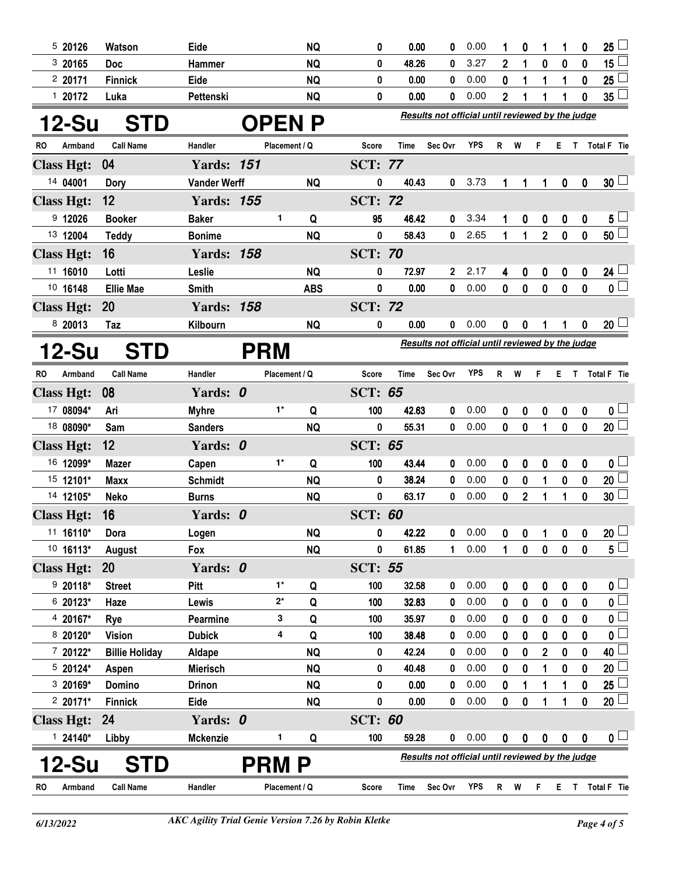| 520126            | Watson                | Eide                |               | <b>NQ</b>    | 0              | 0.00        | 0                                                | 0.00       |                | 0              | 1              | 1                | 0                | 25 <sup>1</sup>         |
|-------------------|-----------------------|---------------------|---------------|--------------|----------------|-------------|--------------------------------------------------|------------|----------------|----------------|----------------|------------------|------------------|-------------------------|
| 3 20165           | <b>Doc</b>            | Hammer              |               | <b>NQ</b>    | 0              | 48.26       | 0                                                | 3.27       | $\overline{2}$ | 1              | 0              | $\bf{0}$         | 0                | $15\Box$                |
| 220171            | <b>Finnick</b>        | Eide                |               | <b>NQ</b>    | 0              | 0.00        | 0                                                | 0.00       | 0              | 1              | 1              | 1                | 0                | 25 <sup>1</sup>         |
| 120172            | Luka                  | Pettenski           |               | <b>NQ</b>    | 0              | 0.00        | 0                                                | 0.00       | 2              | 1              |                |                  | 0                | $35^{\frac{1}{2}}$      |
| 12-Su             | <b>STD</b>            |                     |               | <b>OPENP</b> |                |             | Results not official until reviewed by the judge |            |                |                |                |                  |                  |                         |
| RO<br>Armband     | <b>Call Name</b>      | Handler             | Placement / Q |              | Score          | Time        | Sec Ovr                                          | <b>YPS</b> | $\mathsf{R}$   | W              | F.             | E T              |                  | Total F Tie             |
| <b>Class Hgt:</b> | 04                    | <b>Yards: 151</b>   |               |              | <b>SCT: 77</b> |             |                                                  |            |                |                |                |                  |                  |                         |
| 14 04001          | <b>Dory</b>           | <b>Vander Werff</b> |               | <b>NQ</b>    | 0              | 40.43       | 0                                                | 3.73       | 1              | 1              | 1              | 0                | $\boldsymbol{0}$ | 30 <sup>1</sup>         |
| <b>Class Hgt:</b> | 12                    | <b>Yards: 155</b>   |               |              | <b>SCT: 72</b> |             |                                                  |            |                |                |                |                  |                  |                         |
| 9 12026           | <b>Booker</b>         | <b>Baker</b>        | 1             | Q            | 95             | 46.42       | 0                                                | 3.34       |                | 0              | 0              | $\mathbf 0$      | 0                | 5 <sub>1</sub>          |
| 13 12004          | <b>Teddy</b>          | <b>Bonime</b>       |               | <b>NQ</b>    | 0              | 58.43       | 0                                                | 2.65       | 1              | 1              | $\overline{2}$ | $\mathbf 0$      | $\mathbf 0$      | 50 <sup>1</sup>         |
| <b>Class Hgt:</b> | 16                    | <b>Yards: 158</b>   |               |              | <b>SCT: 70</b> |             |                                                  |            |                |                |                |                  |                  |                         |
| 11 16010          | Lotti                 | Leslie              |               | <b>NQ</b>    | 0              | 72.97       | 2                                                | 2.17       | 4              | 0              | 0              | $\mathbf 0$      | 0                | 24 $\Box$               |
| 10 16148          | <b>Ellie Mae</b>      | <b>Smith</b>        |               | <b>ABS</b>   | 0              | 0.00        | 0                                                | 0.00       | 0              | 0              | $\mathbf 0$    | $\mathbf 0$      | $\mathbf{0}$     | $\overline{\mathbf{0}}$ |
| <b>Class Hgt:</b> | <b>20</b>             | <b>Yards: 158</b>   |               |              | <b>SCT: 72</b> |             |                                                  |            |                |                |                |                  |                  |                         |
| 8 20013           | Taz                   | Kilbourn            |               | <b>NQ</b>    | 0              | 0.00        | 0                                                | 0.00       | 0              | 0              |                | 1                | 0                | $20\perp$               |
|                   |                       |                     |               |              |                |             | Results not official until reviewed by the judge |            |                |                |                |                  |                  |                         |
| 12-Su             | <b>STD</b>            |                     | <b>PRM</b>    |              |                |             |                                                  |            |                |                |                |                  |                  |                         |
| RO<br>Armband     | <b>Call Name</b>      | Handler             | Placement / Q |              | <b>Score</b>   | <b>Time</b> | Sec Ovr                                          | <b>YPS</b> | $\mathsf{R}$   | W              | F              | E.               | $\mathbf{T}$     | <b>Total F</b> Tie      |
| <b>Class Hgt:</b> | 08                    | Yards: 0            |               |              | <b>SCT: 65</b> |             |                                                  |            |                |                |                |                  |                  |                         |
| 17 08094*         | Ari                   | <b>Myhre</b>        | $1^*$         | Q            | 100            | 42.63       | 0                                                | 0.00       | $\mathbf{0}$   | 0              | 0              | $\boldsymbol{0}$ | $\boldsymbol{0}$ | 0 <sub>1</sub>          |
| 18 08090*         | Sam                   | <b>Sanders</b>      |               | <b>NQ</b>    | 0              | 55.31       | 0                                                | 0.00       | $\mathbf{0}$   | $\mathbf{0}$   | 1              | $\boldsymbol{0}$ | $\mathbf{0}$     | $20$ $\Box$             |
| <b>Class Hgt:</b> | 12                    | Yards: 0            |               |              | <b>SCT: 65</b> |             |                                                  |            |                |                |                |                  |                  |                         |
| 16 12099*         | <b>Mazer</b>          | Capen               | $1^*$         | Q            | 100            | 43.44       | 0                                                | 0.00       | 0              | 0              | 0              | $\boldsymbol{0}$ | $\boldsymbol{0}$ | 0 <sub>1</sub>          |
| 15 12101*         | <b>Maxx</b>           | <b>Schmidt</b>      |               | <b>NQ</b>    | 0              | 38.24       | 0                                                | 0.00       | $\mathbf{0}$   | 0              | 1              | $\pmb{0}$        | $\mathbf 0$      | $20$ $\Box$             |
| 14 12105*         | <b>Neko</b>           | <b>Burns</b>        |               | <b>NQ</b>    | 0              | 63.17       | 0                                                | 0.00       | 0              | $\overline{2}$ | 1              | 1                | 0                | 30 <sup>1</sup>         |
| <b>Class Hgt:</b> | 16                    | Yards: 0            |               |              | <b>SCT: 60</b> |             |                                                  |            |                |                |                |                  |                  |                         |
| 11 16110*         | Dora                  | Logen               |               | <b>NQ</b>    | 0              | 42.22       | $\mathbf 0$                                      | 0.00       | 0              | 0              |                | 0                | 0                | $20 \Box$               |
| 10 16113*         | August                | Fox                 |               | <b>NQ</b>    | 0              | 61.85       | 1                                                | 0.00       |                | 0              | $\mathbf 0$    | 0                | 0                | $5^{\square}$           |
| <b>Class Hgt:</b> | <b>20</b>             | Yards: 0            |               |              | <b>SCT: 55</b> |             |                                                  |            |                |                |                |                  |                  |                         |
| $920118*$         | <b>Street</b>         | Pitt                | $1^*$         | Q            | 100            | 32.58       | 0                                                | 0.00       | 0              | 0              | 0              | 0                | 0                | $\mathfrak{o} \sqcup$   |
| 6 20123*          | Haze                  | Lewis               | $2^*$         | Q            | 100            | 32.83       | 0                                                | 0.00       | 0              | 0              | 0              | 0                | 0                | $\mathbf{0}$            |
| 4 20167*          | Rye                   | Pearmine            | 3             | Q            | 100            | 35.97       | 0                                                | 0.00       | 0              | 0              | 0              | 0                | 0                | $0\perp$                |
| 8 20120*          | <b>Vision</b>         | <b>Dubick</b>       | 4             | Q            | 100            | 38.48       | 0                                                | 0.00       | 0              | 0              | 0              | 0                | 0                | $\overline{\mathbf{0}}$ |
| 7 20122*          | <b>Billie Holiday</b> | Aldape              |               | <b>NQ</b>    | 0              | 42.24       | 0                                                | 0.00       | 0              | 0              | $\overline{2}$ | 0                | $\mathbf 0$      | 40 $\lfloor$            |
| $520124*$         | Aspen                 | <b>Mierisch</b>     |               | <b>NQ</b>    | 0              | 40.48       | 0                                                | 0.00       | 0              | 0              | 1              | 0                | 0                | $20$ $\Box$             |
| 3 20169*          | Domino                | <b>Drinon</b>       |               | <b>NQ</b>    | 0              | 0.00        | 0                                                | 0.00       | 0              | 1              | 1              | 1                | $\bf{0}$         | $25\lceil$              |
| $220171*$         | <b>Finnick</b>        | Eide                |               | <b>NQ</b>    | 0              | 0.00        | 0                                                | 0.00       | 0              | 0              | 1              | 1                | $\bf{0}$         | $20$ $\Box$             |
| <b>Class Hgt:</b> | 24                    | Yards: 0            |               |              | <b>SCT: 60</b> |             |                                                  |            |                |                |                |                  |                  |                         |
| $124140*$         | Libby                 | <b>Mckenzie</b>     | 1             | Q            | 100            | 59.28       | 0                                                | 0.00       | 0              | 0              | 0              | 0                | 0                | 0 <sub>1</sub>          |
| 12-Su             | <b>STD</b>            |                     | <b>PRM P</b>  |              |                |             | Results not official until reviewed by the judge |            |                |                |                |                  |                  |                         |
| Armband<br>RO.    | <b>Call Name</b>      | Handler             | Placement / Q |              | Score          | Time        | Sec Ovr                                          | YPS        | R W            |                | F.             |                  |                  | E T Total F Tie         |